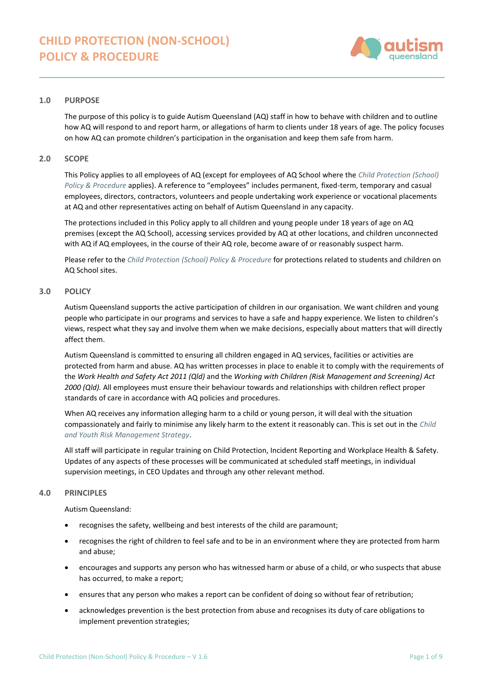

# **1.0 PURPOSE**

The purpose of this policy is to guide Autism Queensland (AQ) staff in how to behave with children and to outline how AQ will respond to and report harm, or allegations of harm to clients under 18 years of age. The policy focuses on how AQ can promote children's participation in the organisation and keep them safe from harm.

### **2.0 SCOPE**

This Policy applies to all employees of AQ (except for employees of AQ School where the *[Child Protection \(School\)](https://autismqueenslandlimited.sharepoint.com/sites/AQQADocuments/All%20Documents/Child%20Protection%20(School)%20Policy%20%26%20Procedure.pdf)  [Policy & Procedure](https://autismqueenslandlimited.sharepoint.com/sites/AQQADocuments/All%20Documents/Child%20Protection%20(School)%20Policy%20%26%20Procedure.pdf)* applies). A reference to "employees" includes permanent, fixed-term, temporary and casual employees, directors, contractors, volunteers and people undertaking work experience or vocational placements at AQ and other representatives acting on behalf of Autism Queensland in any capacity.

The protections included in this Policy apply to all children and young people under 18 years of age on AQ premises (except the AQ School), accessing services provided by AQ at other locations, and children unconnected with AQ if AQ employees, in the course of their AQ role, become aware of or reasonably suspect harm.

Please refer to the *[Child Protection \(School\) Policy & Procedure](https://autismqueenslandlimited.sharepoint.com/sites/AQQADocuments/All%20Documents/Child%20Protection%20(School)%20Policy%20%26%20Procedure.pdf)* for protections related to students and children on AQ School sites.

#### **3.0 POLICY**

Autism Queensland supports the active participation of children in our organisation. We want children and young people who participate in our programs and services to have a safe and happy experience. We listen to children's views, respect what they say and involve them when we make decisions, especially about matters that will directly affect them.

Autism Queensland is committed to ensuring all children engaged in AQ services, facilities or activities are protected from harm and abuse. AQ has written processes in place to enable it to comply with the requirements of the *Work Health and Safety Act 2011 (Qld)* and the *Working with Children (Risk Management and Screening) Act 2000 (Qld).* All employees must ensure their behaviour towards and relationships with children reflect proper standards of care in accordance with AQ policies and procedures.

When AQ receives any information alleging harm to a child or young person, it will deal with the situation compassionately and fairly to minimise any likely harm to the extent it reasonably can. This is set out in the *[Child](https://autismqueenslandlimited.sharepoint.com/sites/AQQADocuments/All%20Documents/Child%20&%20Youth%20Risk%20Management%20Strategy.pdf)  and [Youth Risk Management Strategy](https://autismqueenslandlimited.sharepoint.com/sites/AQQADocuments/All%20Documents/Child%20&%20Youth%20Risk%20Management%20Strategy.pdf)*.

All staff will participate in regular training on Child Protection, Incident Reporting and Workplace Health & Safety. Updates of any aspects of these processes will be communicated at scheduled staff meetings, in individual supervision meetings, in CEO Updates and through any other relevant method.

# **4.0 PRINCIPLES**

Autism Queensland:

- recognises the safety, wellbeing and best interests of the child are paramount;
- recognises the right of children to feel safe and to be in an environment where they are protected from harm and abuse;
- encourages and supports any person who has witnessed harm or abuse of a child, or who suspects that abuse has occurred, to make a report;
- ensures that any person who makes a report can be confident of doing so without fear of retribution;
- acknowledges prevention is the best protection from abuse and recognises its duty of care obligations to implement prevention strategies;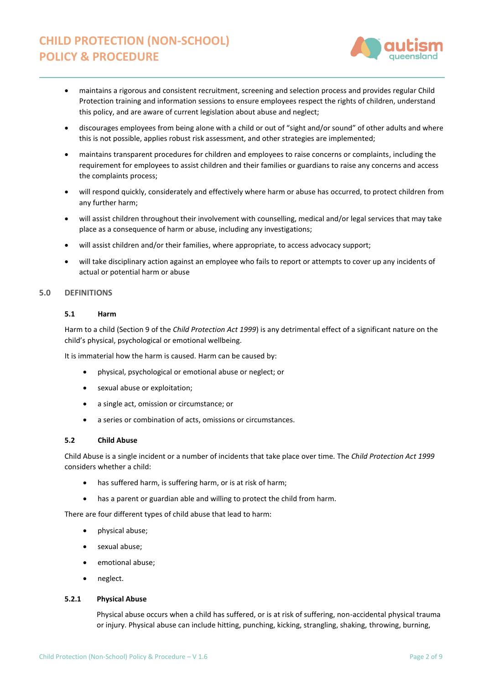

- maintains a rigorous and consistent recruitment, screening and selection process and provides regular Child Protection training and information sessions to ensure employees respect the rights of children, understand this policy, and are aware of current legislation about abuse and neglect;
- discourages employees from being alone with a child or out of "sight and/or sound" of other adults and where this is not possible, applies robust risk assessment, and other strategies are implemented;
- maintains transparent procedures for children and employees to raise concerns or complaints, including the requirement for employees to assist children and their families or guardians to raise any concerns and access the complaints process;
- will respond quickly, considerately and effectively where harm or abuse has occurred, to protect children from any further harm;
- will assist children throughout their involvement with counselling, medical and/or legal services that may take place as a consequence of harm or abuse, including any investigations;
- will assist children and/or their families, where appropriate, to access advocacy support;
- will take disciplinary action against an employee who fails to report or attempts to cover up any incidents of actual or potential harm or abuse

# **5.0 DEFINITIONS**

# **5.1 Harm**

Harm to a child (Section 9 of the *Child Protection Act 1999*) is any detrimental effect of a significant nature on the child's physical, psychological or emotional wellbeing.

It is immaterial how the harm is caused. Harm can be caused by:

- physical, psychological or emotional abuse or neglect; or
- sexual abuse or exploitation;
- a single act, omission or circumstance; or
- a series or combination of acts, omissions or circumstances.

#### **5.2 Child Abuse**

Child Abuse is a single incident or a number of incidents that take place over time. The *Child Protection Act 1999* considers whether a child:

- has suffered harm, is suffering harm, or is at risk of harm;
- has a parent or guardian able and willing to protect the child from harm.

There are four different types of child abuse that lead to harm:

- physical abuse;
- sexual abuse;
- emotional abuse;
- neglect.

#### **5.2.1 Physical Abuse**

Physical abuse occurs when a child has suffered, or is at risk of suffering, non-accidental physical trauma or injury. Physical abuse can include hitting, punching, kicking, strangling, shaking, throwing, burning,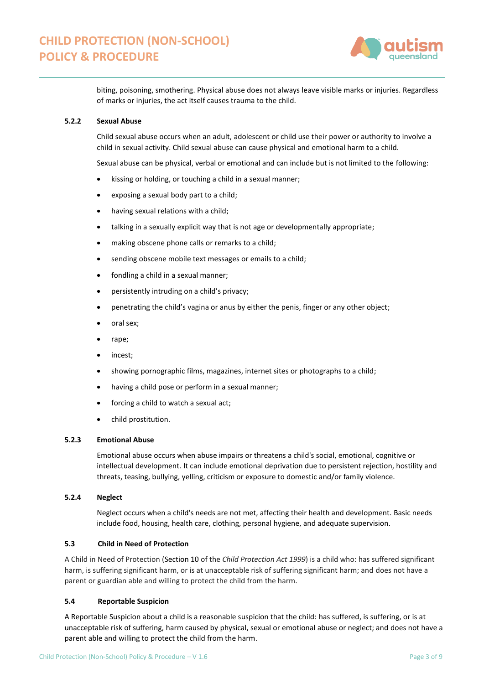

biting, poisoning, smothering. Physical abuse does not always leave visible marks or injuries. Regardless of marks or injuries, the act itself causes trauma to the child.

# **5.2.2 Sexual Abuse**

Child sexual abuse occurs when an adult, adolescent or child use their power or authority to involve a child in sexual activity. Child sexual abuse can cause physical and emotional harm to a child.

Sexual abuse can be physical, verbal or emotional and can include but is not limited to the following:

- kissing or holding, or touching a child in a sexual manner;
- exposing a sexual body part to a child;
- having sexual relations with a child;
- talking in a sexually explicit way that is not age or developmentally appropriate;
- making obscene phone calls or remarks to a child;
- sending obscene mobile text messages or emails to a child;
- fondling a child in a sexual manner;
- persistently intruding on a child's privacy;
- penetrating the child's vagina or anus by either the penis, finger or any other object;
- oral sex;
- rape;
- incest;
- showing pornographic films, magazines, internet sites or photographs to a child;
- having a child pose or perform in a sexual manner;
- forcing a child to watch a sexual act;
- child prostitution.

# **5.2.3 Emotional Abuse**

Emotional abuse occurs when abuse impairs or threatens a child's social, emotional, cognitive or intellectual development. It can include emotional deprivation due to persistent rejection, hostility and threats, teasing, bullying, yelling, criticism or exposure to domestic and/or family violence.

# **5.2.4 Neglect**

Neglect occurs when a child's needs are not met, affecting their health and development. Basic needs include food, housing, health care, clothing, personal hygiene, and adequate supervision.

# **5.3 Child in Need of Protection**

A Child in Need of Protection (Section 10 of the *Child Protection Act 1999*) is a child who: has suffered significant harm, is suffering significant harm, or is at unacceptable risk of suffering significant harm; and does not have a parent or guardian able and willing to protect the child from the harm.

# **5.4 Reportable Suspicion**

A Reportable Suspicion about a child is a reasonable suspicion that the child: has suffered, is suffering, or is at unacceptable risk of suffering, harm caused by physical, sexual or emotional abuse or neglect; and does not have a parent able and willing to protect the child from the harm.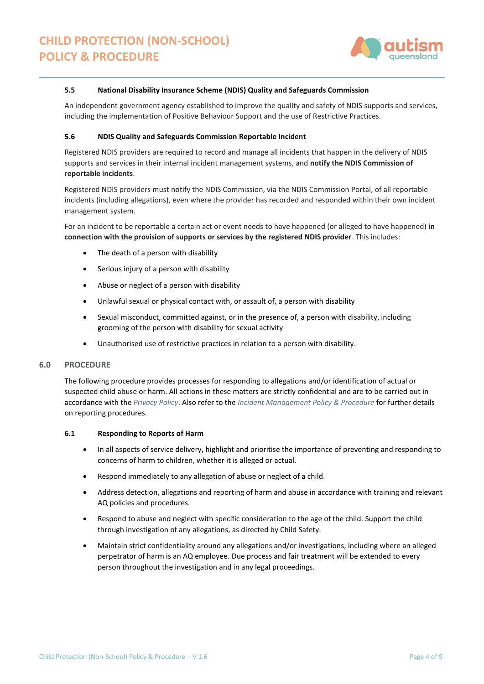

#### **5.5 National Disability Insurance Scheme (NDIS) Quality and Safeguards Commission**

An independent government agency established to improve the quality and safety of NDIS supports and services, including the implementation of Positive Behaviour Support and the use of Restrictive Practices.

#### **5.6 NDIS Quality and Safeguards Commission Reportable Incident**

Registered NDIS providers are required to record and manage all incidents that happen in the delivery of NDIS supports and services in their internal incident management systems, and **notify the NDIS Commission of reportable incidents**.

Registered NDIS providers must notify the NDIS Commission, via the NDIS Commission Portal, of all reportable incidents (including allegations), even where the provider has recorded and responded within their own incident management system.

For an incident to be reportable a certain act or event needs to have happened (or alleged to have happened) **in connection with the provision of supports or services by the registered NDIS provider**. This includes:

- The death of a person with disability
- Serious injury of a person with disability
- Abuse or neglect of a person with disability
- Unlawful sexual or physical contact with, or assault of, a person with disability
- Sexual misconduct, committed against, or in the presence of, a person with disability, including grooming of the person with disability for sexual activity
- Unauthorised use of restrictive practices in relation to a person with disability.

#### **6.0 PROCEDURE**

The following procedure provides processes for responding to allegations and/or identification of actual or suspected child abuse or harm. All actions in these matters are strictly confidential and are to be carried out in accordance with the *[Privacy Policy](https://autismqueenslandlimited.sharepoint.com/sites/AQQADocuments/All%20Documents/Privacy%20Policy.pdf)*. Also refer to the *[Incident Management Policy & Procedure](https://autismqueenslandlimited.sharepoint.com/sites/AQQADocuments/All%20Documents/Incident%20Management%20Policy%20&%20Procedure.pdf)* for further details on reporting procedures.

#### **6.1 Responding to Reports of Harm**

- In all aspects of service delivery, highlight and prioritise the importance of preventing and responding to concerns of harm to children, whether it is alleged or actual.
- Respond immediately to any allegation of abuse or neglect of a child.
- Address detection, allegations and reporting of harm and abuse in accordance with training and relevant AQ policies and procedures.
- Respond to abuse and neglect with specific consideration to the age of the child. Support the child through investigation of any allegations, as directed by Child Safety.
- Maintain strict confidentiality around any allegations and/or investigations, including where an alleged perpetrator of harm is an AQ employee. Due process and fair treatment will be extended to every person throughout the investigation and in any legal proceedings.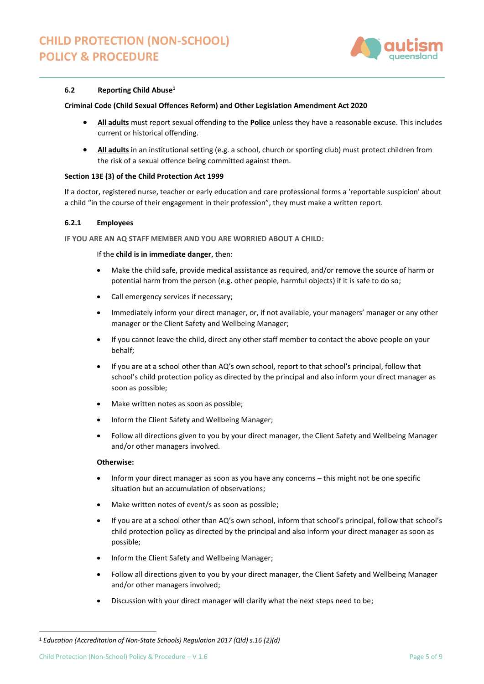

### **6.2 Reporting Child Abuse<sup>1</sup>**

#### **Criminal Code (Child Sexual Offences Reform) and Other Legislation Amendment Act 2020**

- **All adults** must report sexual offending to the **Police** unless they have a reasonable excuse. This includes current or historical offending.
- **All adults** in an institutional setting (e.g. a school, church or sporting club) must protect children from the risk of a sexual offence being committed against them.

### **Section 13E (3) of the Child Protection Act 1999**

If a doctor, registered nurse, teacher or early education and care professional forms a 'reportable suspicion' about a child "in the course of their engagement in their profession", they must make a written report.

#### **6.2.1 Employees**

**IF YOU ARE AN AQ STAFF MEMBER AND YOU ARE WORRIED ABOUT A CHILD:**

If the **child is in immediate danger**, then:

- Make the child safe, provide medical assistance as required, and/or remove the source of harm or potential harm from the person (e.g. other people, harmful objects) if it is safe to do so;
- Call emergency services if necessary;
- Immediately inform your direct manager, or, if not available, your managers' manager or any other manager or the Client Safety and Wellbeing Manager;
- If you cannot leave the child, direct any other staff member to contact the above people on your behalf;
- If you are at a school other than AQ's own school, report to that school's principal, follow that school's child protection policy as directed by the principal and also inform your direct manager as soon as possible;
- Make written notes as soon as possible;
- Inform the Client Safety and Wellbeing Manager;
- Follow all directions given to you by your direct manager, the Client Safety and Wellbeing Manager and/or other managers involved.

### **Otherwise:**

- Inform your direct manager as soon as you have any concerns this might not be one specific situation but an accumulation of observations;
- Make written notes of event/s as soon as possible;
- If you are at a school other than AQ's own school, inform that school's principal, follow that school's child protection policy as directed by the principal and also inform your direct manager as soon as possible;
- Inform the Client Safety and Wellbeing Manager;
- Follow all directions given to you by your direct manager, the Client Safety and Wellbeing Manager and/or other managers involved;
- Discussion with your direct manager will clarify what the next steps need to be;

<sup>1</sup> *Education (Accreditation of Non-State Schools) Regulation 2017 (Qld) s.16 (2)(d)*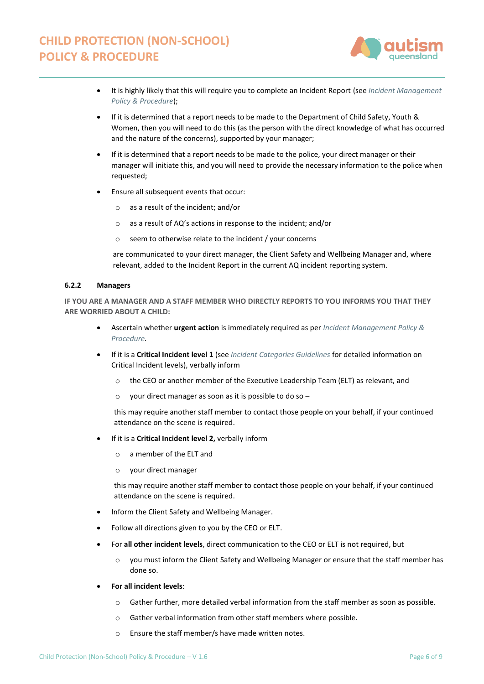

- It is highly likely that this will require you to complete an Incident Report (see *[Incident Management](https://autismqueenslandlimited.sharepoint.com/sites/AQQADocuments/All%20Documents/Incident%20Management%20Policy%20&%20Procedure.pdf)  [Policy & Procedure](https://autismqueenslandlimited.sharepoint.com/sites/AQQADocuments/All%20Documents/Incident%20Management%20Policy%20&%20Procedure.pdf)*);
- If it is determined that a report needs to be made to the Department of Child Safety, Youth & Women, then you will need to do this (as the person with the direct knowledge of what has occurred and the nature of the concerns), supported by your manager;
- If it is determined that a report needs to be made to the police, your direct manager or their manager will initiate this, and you will need to provide the necessary information to the police when requested;
- Ensure all subsequent events that occur:
	- o as a result of the incident; and/or
	- o as a result of AQ's actions in response to the incident; and/or
	- o seem to otherwise relate to the incident / your concerns

are communicated to your direct manager, the Client Safety and Wellbeing Manager and, where relevant, added to the Incident Report in the current AQ incident reporting system.

# **6.2.2 Managers**

**IF YOU ARE A MANAGER AND A STAFF MEMBER WHO DIRECTLY REPORTS TO YOU INFORMS YOU THAT THEY ARE WORRIED ABOUT A CHILD:**

- Ascertain whether **urgent action** is immediately required as per *[Incident Management Policy &](https://autismqueenslandlimited.sharepoint.com/sites/AQQADocuments/All%20Documents/Incident%20Management%20Policy%20&%20Procedure.pdf)  [Procedure.](https://autismqueenslandlimited.sharepoint.com/sites/AQQADocuments/All%20Documents/Incident%20Management%20Policy%20&%20Procedure.pdf)*
- If it is a **Critical Incident level 1** (see *[Incident Categories Guidelines](https://autismqueenslandlimited.sharepoint.com/sites/AQQADocuments/All%20Documents/Incident%20Categories%20Guidelines.pdf)* for detailed information on Critical Incident levels), verbally inform
	- o the CEO or another member of the Executive Leadership Team (ELT) as relevant, and
	- your direct manager as soon as it is possible to do so  $-$

this may require another staff member to contact those people on your behalf, if your continued attendance on the scene is required.

- If it is a **Critical Incident level 2,** verbally inform
	- o a member of the ELT and
	- o your direct manager

this may require another staff member to contact those people on your behalf, if your continued attendance on the scene is required.

- Inform the Client Safety and Wellbeing Manager.
- Follow all directions given to you by the CEO or ELT.
- For **all other incident levels**, direct communication to the CEO or ELT is not required, but
	- o you must inform the Client Safety and Wellbeing Manager or ensure that the staff member has done so.
- **For all incident levels**:
	- $\circ$  Gather further, more detailed verbal information from the staff member as soon as possible.
	- o Gather verbal information from other staff members where possible.
	- o Ensure the staff member/s have made written notes.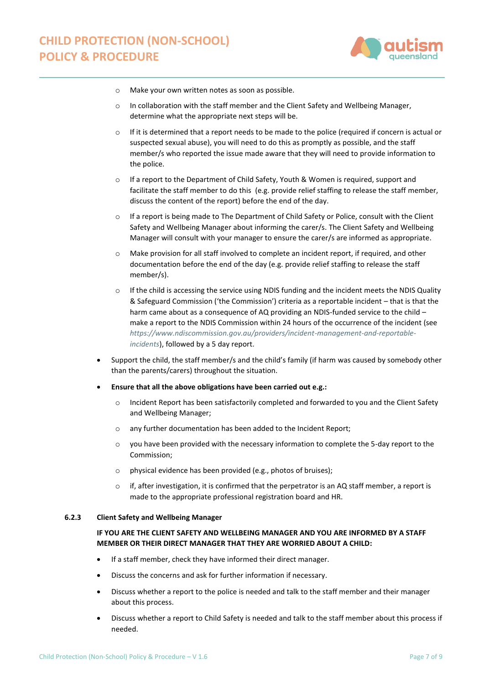

- o Make your own written notes as soon as possible.
- $\circ$  In collaboration with the staff member and the Client Safety and Wellbeing Manager, determine what the appropriate next steps will be.
- $\circ$  If it is determined that a report needs to be made to the police (required if concern is actual or suspected sexual abuse), you will need to do this as promptly as possible, and the staff member/s who reported the issue made aware that they will need to provide information to the police.
- If a report to the Department of Child Safety, Youth & Women is required, support and facilitate the staff member to do this (e.g. provide relief staffing to release the staff member, discuss the content of the report) before the end of the day.
- o If a report is being made to The Department of Child Safety or Police, consult with the Client Safety and Wellbeing Manager about informing the carer/s. The Client Safety and Wellbeing Manager will consult with your manager to ensure the carer/s are informed as appropriate.
- o Make provision for all staff involved to complete an incident report, if required, and other documentation before the end of the day (e.g. provide relief staffing to release the staff member/s).
- $\circ$  If the child is accessing the service using NDIS funding and the incident meets the NDIS Quality & Safeguard Commission ('the Commission') criteria as a reportable incident – that is that the harm came about as a consequence of AQ providing an NDIS-funded service to the child – make a report to the NDIS Commission within 24 hours of the occurrence of the incident (see *[https://www.ndiscommission.gov.au/providers/incident-management-and-reportable](https://www.ndiscommission.gov.au/providers/incident-management-and-reportable-incidents)[incidents](https://www.ndiscommission.gov.au/providers/incident-management-and-reportable-incidents)*), followed by a 5 day report.
- Support the child, the staff member/s and the child's family (if harm was caused by somebody other than the parents/carers) throughout the situation.
- **Ensure that all the above obligations have been carried out e.g.:**
	- o Incident Report has been satisfactorily completed and forwarded to you and the Client Safety and Wellbeing Manager;
	- o any further documentation has been added to the Incident Report;
	- o you have been provided with the necessary information to complete the 5-day report to the Commission;
	- o physical evidence has been provided (e.g., photos of bruises);
	- $\circ$  if, after investigation, it is confirmed that the perpetrator is an AQ staff member, a report is made to the appropriate professional registration board and HR.

#### **6.2.3 Client Safety and Wellbeing Manager**

# **IF YOU ARE THE CLIENT SAFETY AND WELLBEING MANAGER AND YOU ARE INFORMED BY A STAFF MEMBER OR THEIR DIRECT MANAGER THAT THEY ARE WORRIED ABOUT A CHILD:**

- If a staff member, check they have informed their direct manager.
- Discuss the concerns and ask for further information if necessary.
- Discuss whether a report to the police is needed and talk to the staff member and their manager about this process.
- Discuss whether a report to Child Safety is needed and talk to the staff member about this process if needed.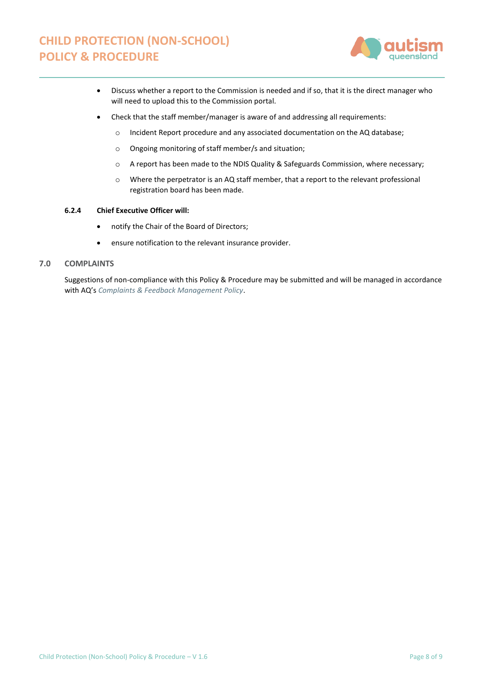

- Discuss whether a report to the Commission is needed and if so, that it is the direct manager who will need to upload this to the Commission portal.
- Check that the staff member/manager is aware of and addressing all requirements:
	- o Incident Report procedure and any associated documentation on the AQ database;
	- o Ongoing monitoring of staff member/s and situation;
	- o A report has been made to the NDIS Quality & Safeguards Commission, where necessary;
	- o Where the perpetrator is an AQ staff member, that a report to the relevant professional registration board has been made.

# **6.2.4 Chief Executive Officer will:**

- notify the Chair of the Board of Directors;
- ensure notification to the relevant insurance provider.

# **7.0 COMPLAINTS**

Suggestions of non-compliance with this Policy & Procedure may be submitted and will be managed in accordance with AQ's *[Complaints & Feedback Management Policy](https://autismqueenslandlimited.sharepoint.com/:b:/r/sites/AQQADocuments/All%20Documents/Complaints%20%26%20Feedback%20Management%20Policy.pdf?csf=1&web=1&e=kW3ADI)*.